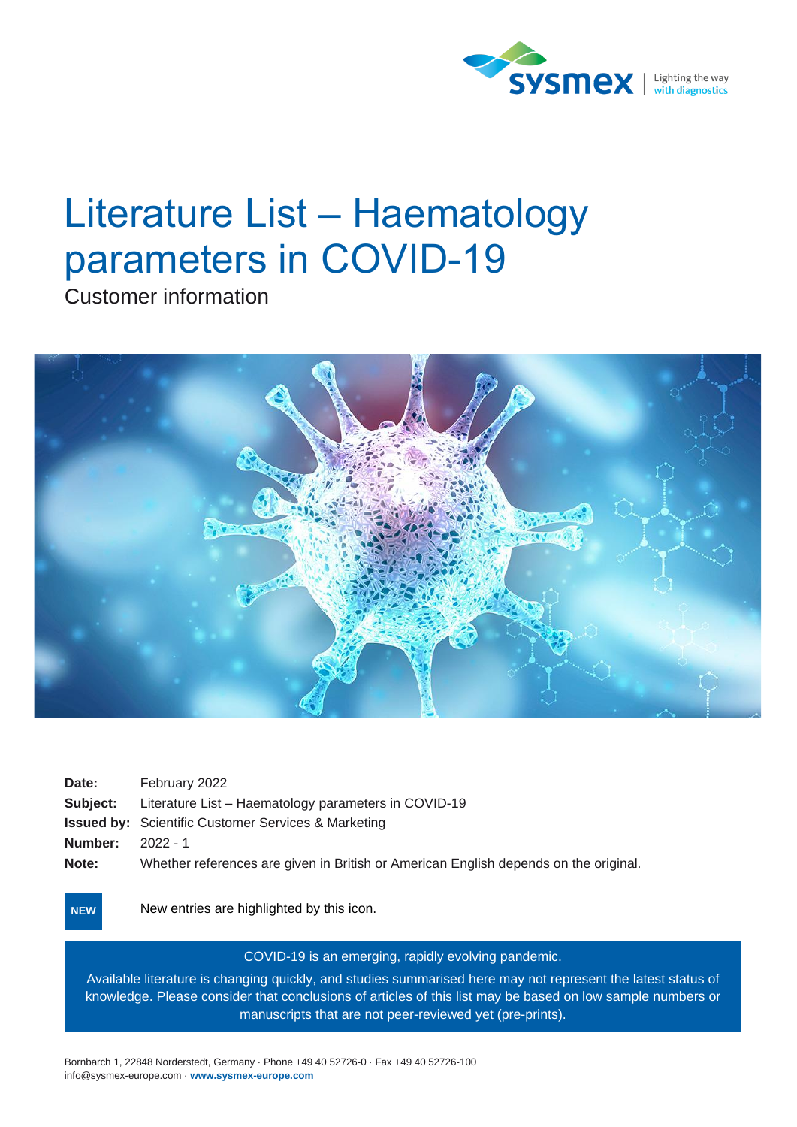

# Literature List – Haematology parameters in COVID-19

Customer information



| Date:           | February 2022                                                                        |
|-----------------|--------------------------------------------------------------------------------------|
| <b>Subject:</b> | Literature List – Haematology parameters in COVID-19                                 |
|                 | <b>Issued by:</b> Scientific Customer Services & Marketing                           |
| Number:         | 2022 - 1                                                                             |
| Note:           | Whether references are given in British or American English depends on the original. |

New entries are highlighted by this icon. **NEW**

#### COVID-19 is an emerging, rapidly evolving pandemic.

Available literature is changing quickly, and studies summarised here may not represent the latest status of knowledge. Please consider that conclusions of articles of this list may be based on low sample numbers or manuscripts that are not peer-reviewed yet (pre-prints).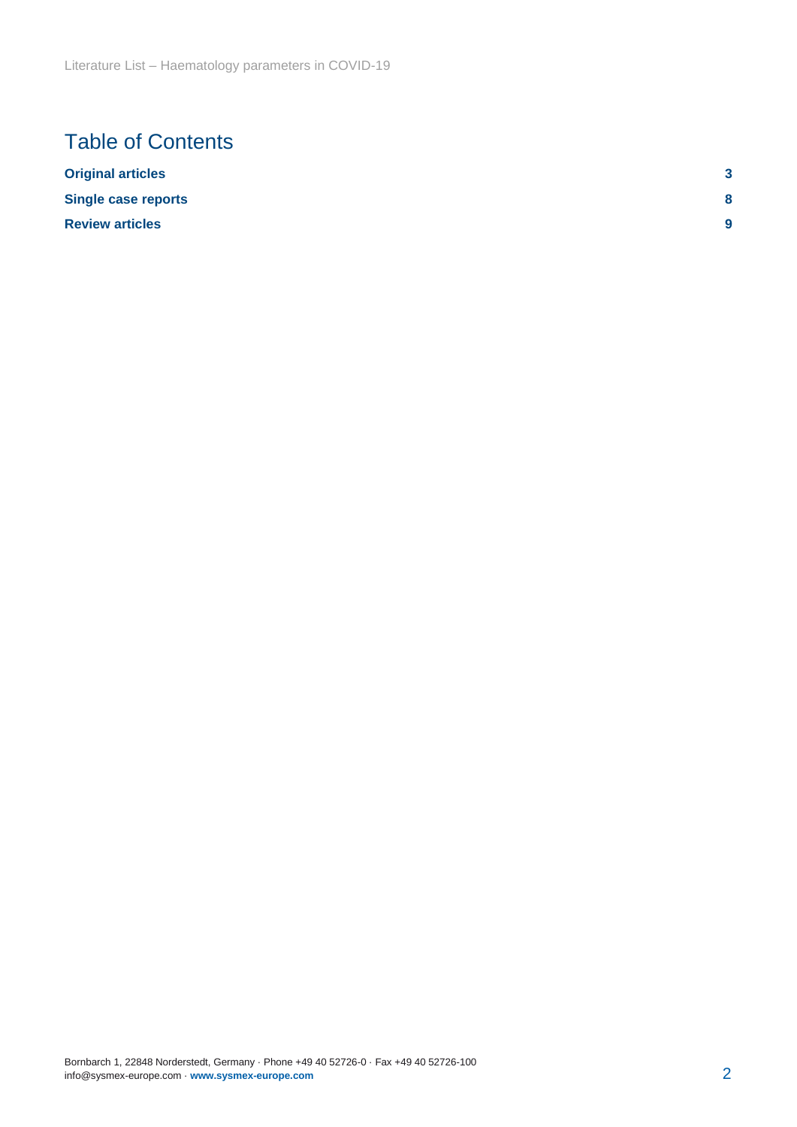## Table of Contents

| <b>Original articles</b>   | ≏<br>u |
|----------------------------|--------|
| <b>Single case reports</b> | 8      |
| <b>Review articles</b>     | 9      |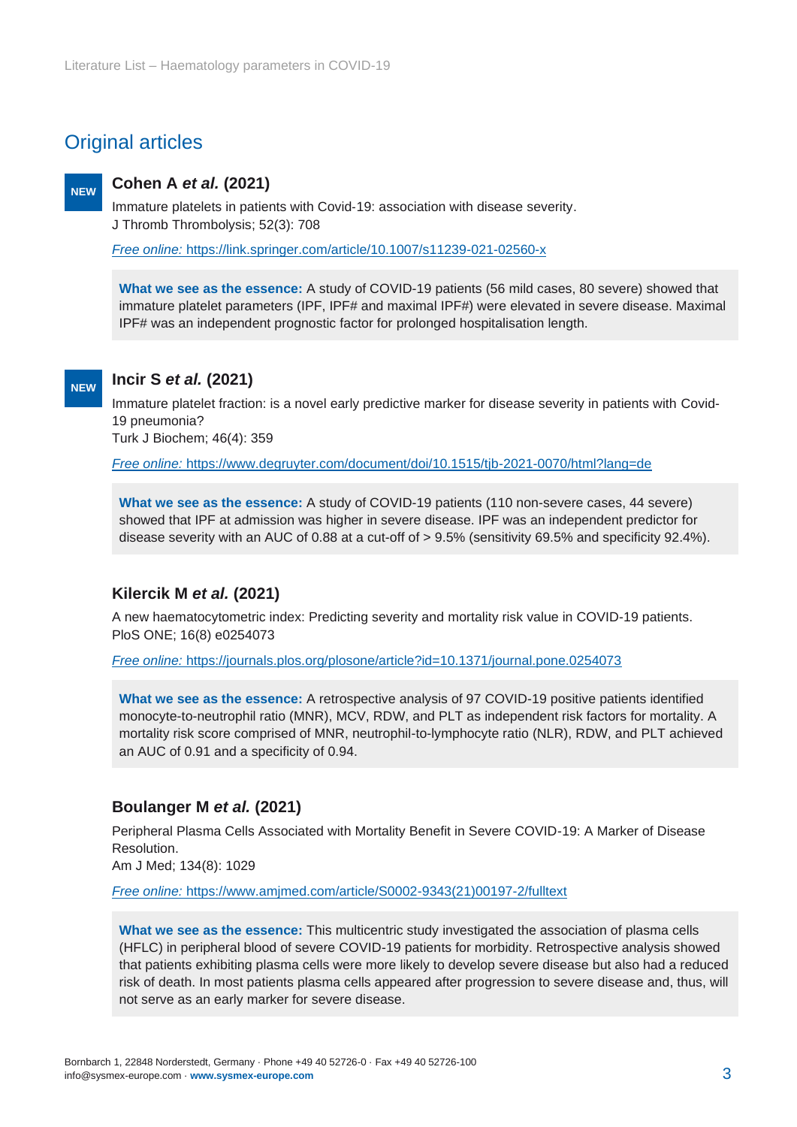## <span id="page-2-0"></span>Original articles

#### **Cohen A** *et al.* **(2021) NEW**

Immature platelets in patients with Covid‑19: association with disease severity. J Thromb Thrombolysis; 52(3): 708

*Free online:* https://link.springer.com/article/10.1007/s11239-021-02560-x

**What we see as the essence:** A study of COVID-19 patients (56 mild cases, 80 severe) showed that immature platelet parameters (IPF, IPF# and maximal IPF#) were elevated in severe disease. Maximal IPF# was an independent prognostic factor for prolonged hospitalisation length.

#### **NEW**

#### **Incir S** *et al.* **(2021)**

Immature platelet fraction: is a novel early predictive marker for disease severity in patients with Covid-19 pneumonia?

Turk J Biochem; 46(4): 359

*Free online:* https://www.degruyter.com/document/doi/10.1515/tjb-2021-0070/html?lang=de

**What we see as the essence:** A study of COVID-19 patients (110 non-severe cases, 44 severe) showed that IPF at admission was higher in severe disease. IPF was an independent predictor for disease severity with an AUC of 0.88 at a cut-off of > 9.5% (sensitivity 69.5% and specificity 92.4%).

#### **Kilercik M** *et al.* **(2021)**

A new haematocytometric index: Predicting severity and mortality risk value in COVID-19 patients. PloS ONE; 16(8) e0254073

*Free online:* https://journals.plos.org/plosone/article?id=10.1371/journal.pone.0254073

**What we see as the essence:** A retrospective analysis of 97 COVID-19 positive patients identified monocyte-to-neutrophil ratio (MNR), MCV, RDW, and PLT as independent risk factors for mortality. A mortality risk score comprised of MNR, neutrophil-to-lymphocyte ratio (NLR), RDW, and PLT achieved an AUC of 0.91 and a specificity of 0.94.

#### **Boulanger M** *et al.* **(2021)**

Peripheral Plasma Cells Associated with Mortality Benefit in Severe COVID-19: A Marker of Disease Resolution.

Am J Med; 134(8): 1029

*Free online:* https://www.amjmed.com/article/S0002-9343(21)00197-2/fulltext

**What we see as the essence:** This multicentric study investigated the association of plasma cells (HFLC) in peripheral blood of severe COVID-19 patients for morbidity. Retrospective analysis showed that patients exhibiting plasma cells were more likely to develop severe disease but also had a reduced risk of death. In most patients plasma cells appeared after progression to severe disease and, thus, will not serve as an early marker for severe disease.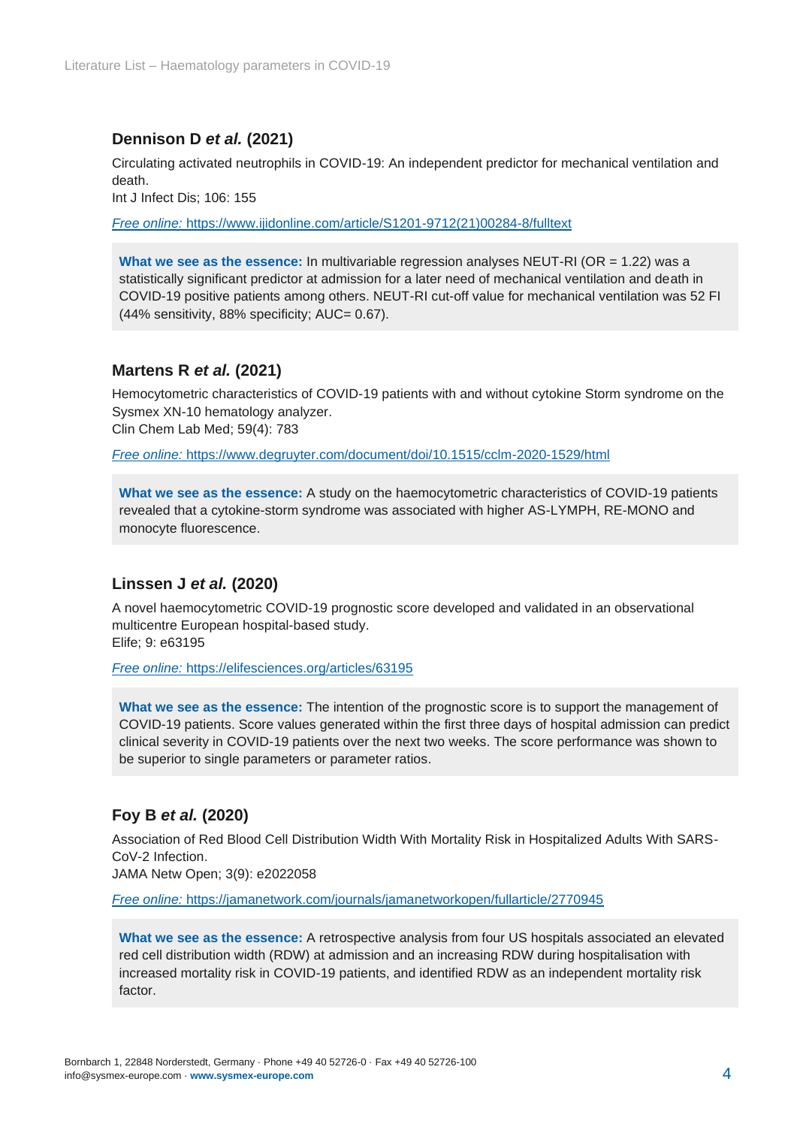#### **Dennison D** *et al.* **(2021)**

Circulating activated neutrophils in COVID-19: An independent predictor for mechanical ventilation and death.

Int J Infect Dis; 106: 155

*Free online:* https://www.ijidonline.com/article/S1201-9712(21)00284-8/fulltext

**What we see as the essence:** In multivariable regression analyses NEUT-RI (OR = 1.22) was a statistically significant predictor at admission for a later need of mechanical ventilation and death in COVID-19 positive patients among others. NEUT-RI cut-off value for mechanical ventilation was 52 FI (44% sensitivity, 88% specificity; AUC= 0.67).

#### **Martens R** *et al.* **(2021)**

Hemocytometric characteristics of COVID-19 patients with and without cytokine Storm syndrome on the Sysmex XN-10 hematology analyzer. Clin Chem Lab Med; 59(4): 783

*Free online:* https://www.degruyter.com/document/doi/10.1515/cclm-2020-1529/html

**What we see as the essence:** A study on the haemocytometric characteristics of COVID-19 patients revealed that a cytokine-storm syndrome was associated with higher AS-LYMPH, RE-MONO and monocyte fluorescence.

#### **Linssen J** *et al.* **(2020)**

A novel haemocytometric COVID-19 prognostic score developed and validated in an observational multicentre European hospital-based study. Elife; 9: e63195

*Free online:* https://elifesciences.org/articles/63195

**What we see as the essence:** The intention of the prognostic score is to support the management of COVID-19 patients. Score values generated within the first three days of hospital admission can predict clinical severity in COVID-19 patients over the next two weeks. The score performance was shown to be superior to single parameters or parameter ratios.

#### **Foy B** *et al.* **(2020)**

Association of Red Blood Cell Distribution Width With Mortality Risk in Hospitalized Adults With SARS-CoV-2 Infection.

JAMA Netw Open; 3(9): e2022058

*Free online:* https://jamanetwork.com/journals/jamanetworkopen/fullarticle/2770945

**What we see as the essence:** A retrospective analysis from four US hospitals associated an elevated red cell distribution width (RDW) at admission and an increasing RDW during hospitalisation with increased mortality risk in COVID-19 patients, and identified RDW as an independent mortality risk factor.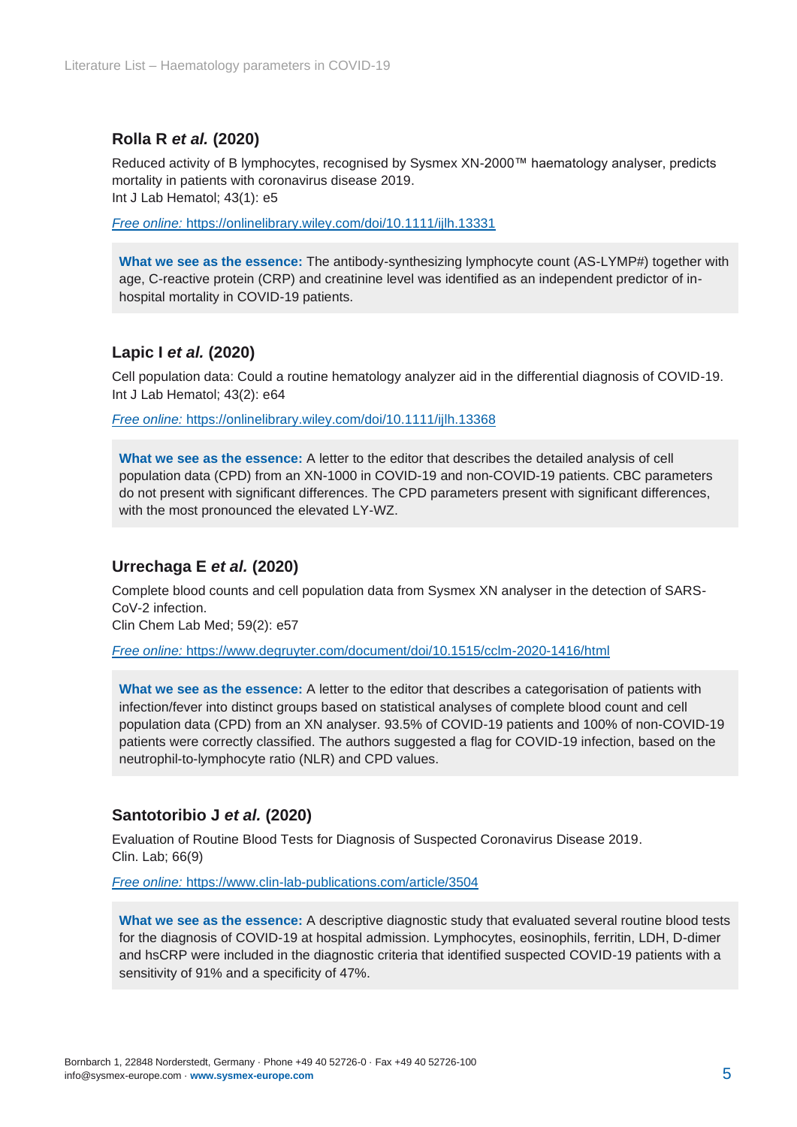#### **Rolla R** *et al.* **(2020)**

Reduced activity of B lymphocytes, recognised by Sysmex XN-2000™ haematology analyser, predicts mortality in patients with coronavirus disease 2019. Int J Lab Hematol; 43(1): e5

*Free online:* https://onlinelibrary.wiley.com/doi/10.1111/ijlh.13331

**What we see as the essence:** The antibody-synthesizing lymphocyte count (AS-LYMP#) together with age, C-reactive protein (CRP) and creatinine level was identified as an independent predictor of inhospital mortality in COVID-19 patients.

#### **Lapic I** *et al.* **(2020)**

Cell population data: Could a routine hematology analyzer aid in the differential diagnosis of COVID-19. Int J Lab Hematol; 43(2): e64

*Free online:* https://onlinelibrary.wiley.com/doi/10.1111/ijlh.13368

**What we see as the essence:** A letter to the editor that describes the detailed analysis of cell population data (CPD) from an XN-1000 in COVID-19 and non-COVID-19 patients. CBC parameters do not present with significant differences. The CPD parameters present with significant differences, with the most pronounced the elevated LY-WZ.

#### **Urrechaga E** *et al.* **(2020)**

Complete blood counts and cell population data from Sysmex XN analyser in the detection of SARS-CoV-2 infection.

Clin Chem Lab Med; 59(2): e57

*Free online:* https://www.degruyter.com/document/doi/10.1515/cclm-2020-1416/html

**What we see as the essence:** A letter to the editor that describes a categorisation of patients with infection/fever into distinct groups based on statistical analyses of complete blood count and cell population data (CPD) from an XN analyser. 93.5% of COVID-19 patients and 100% of non-COVID-19 patients were correctly classified. The authors suggested a flag for COVID-19 infection, based on the neutrophil-to-lymphocyte ratio (NLR) and CPD values.

#### **Santotoribio J** *et al.* **(2020)**

Evaluation of Routine Blood Tests for Diagnosis of Suspected Coronavirus Disease 2019. Clin. Lab; 66(9)

*Free online:* https://www.clin-lab-publications.com/article/3504

**What we see as the essence:** A descriptive diagnostic study that evaluated several routine blood tests for the diagnosis of COVID-19 at hospital admission. Lymphocytes, eosinophils, ferritin, LDH, D-dimer and hsCRP were included in the diagnostic criteria that identified suspected COVID-19 patients with a sensitivity of 91% and a specificity of 47%.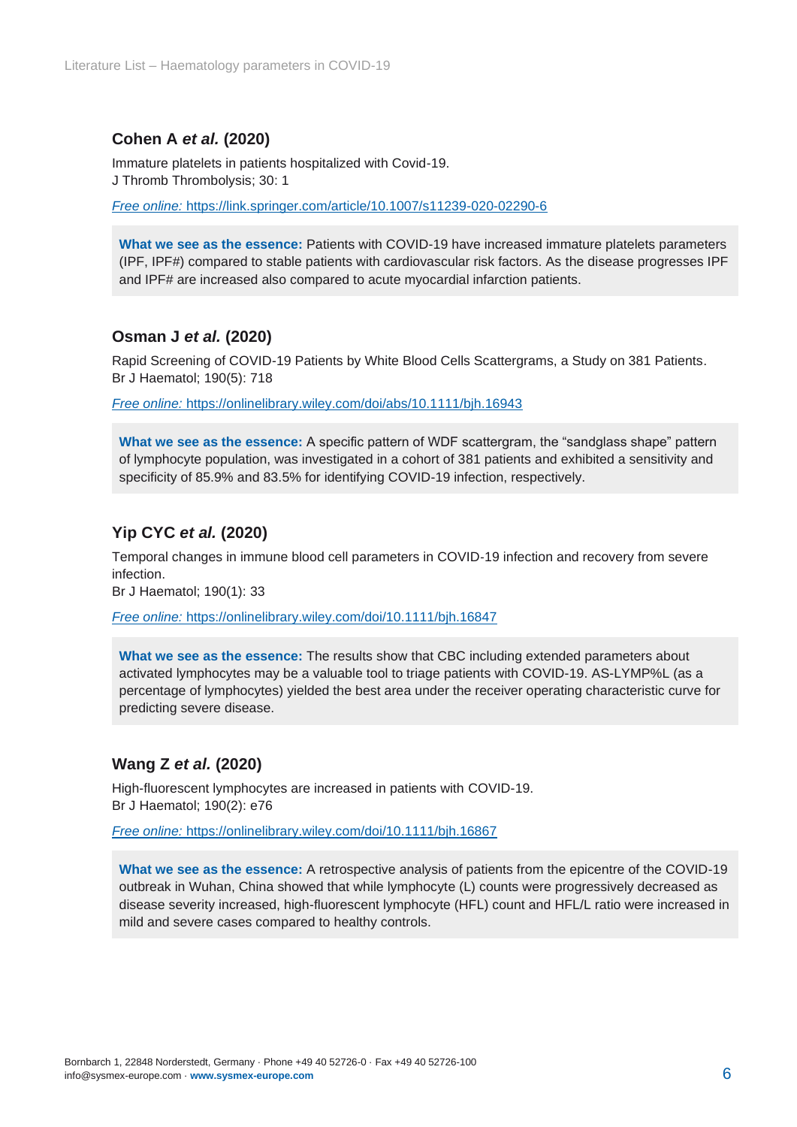#### **Cohen A** *et al.* **(2020)**

Immature platelets in patients hospitalized with Covid-19. J Thromb Thrombolysis; 30: 1

*Free online:* https://link.springer.com/article/10.1007/s11239-020-02290-6

**What we see as the essence:** Patients with COVID-19 have increased immature platelets parameters (IPF, IPF#) compared to stable patients with cardiovascular risk factors. As the disease progresses IPF and IPF# are increased also compared to acute myocardial infarction patients.

#### **Osman J** *et al.* **(2020)**

Rapid Screening of COVID-19 Patients by White Blood Cells Scattergrams, a Study on 381 Patients. Br J Haematol; 190(5): 718

*Free online:* https://onlinelibrary.wiley.com/doi/abs/10.1111/bjh.16943

**What we see as the essence:** A specific pattern of WDF scattergram, the "sandglass shape" pattern of lymphocyte population, was investigated in a cohort of 381 patients and exhibited a sensitivity and specificity of 85.9% and 83.5% for identifying COVID-19 infection, respectively.

#### **Yip CYC** *et al.* **(2020)**

Temporal changes in immune blood cell parameters in COVID‑19 infection and recovery from severe infection.

Br J Haematol; 190(1): 33

*Free online:* https://onlinelibrary.wiley.com/doi/10.1111/bjh.16847

**What we see as the essence:** The results show that CBC including extended parameters about activated lymphocytes may be a valuable tool to triage patients with COVID-19. AS-LYMP%L (as a percentage of lymphocytes) yielded the best area under the receiver operating characteristic curve for predicting severe disease.

#### **Wang Z** *et al.* **(2020)**

High-fluorescent lymphocytes are increased in patients with COVID-19. Br J Haematol; 190(2): e76

*Free online:* https://onlinelibrary.wiley.com/doi/10.1111/bjh.16867

**What we see as the essence:** A retrospective analysis of patients from the epicentre of the COVID-19 outbreak in Wuhan, China showed that while lymphocyte (L) counts were progressively decreased as disease severity increased, high-fluorescent lymphocyte (HFL) count and HFL/L ratio were increased in mild and severe cases compared to healthy controls.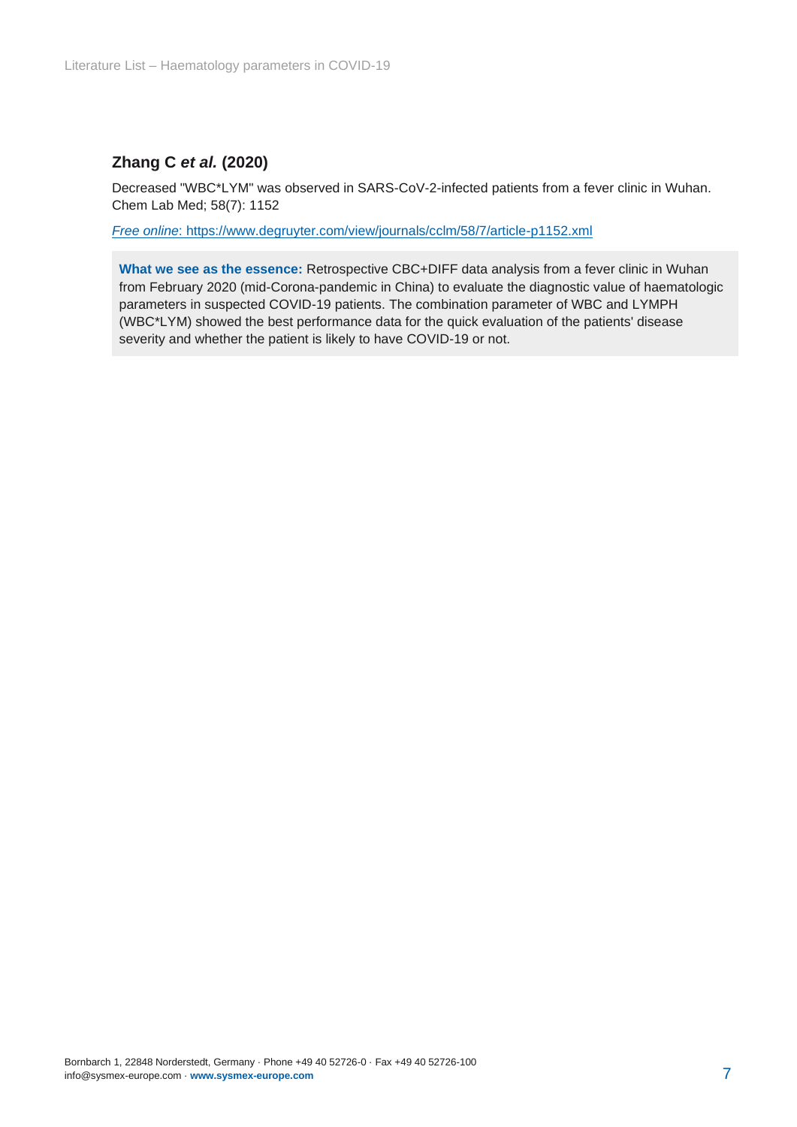#### **Zhang C** *et al.* **(2020)**

Decreased "WBC\*LYM" was observed in SARS-CoV-2-infected patients from a fever clinic in Wuhan. Chem Lab Med; 58(7): 1152

*Free online*: https://www.degruyter.com/view/journals/cclm/58/7/article-p1152.xml

**What we see as the essence:** Retrospective CBC+DIFF data analysis from a fever clinic in Wuhan from February 2020 (mid-Corona-pandemic in China) to evaluate the diagnostic value of haematologic parameters in suspected COVID-19 patients. The combination parameter of WBC and LYMPH (WBC\*LYM) showed the best performance data for the quick evaluation of the patients' disease severity and whether the patient is likely to have COVID-19 or not.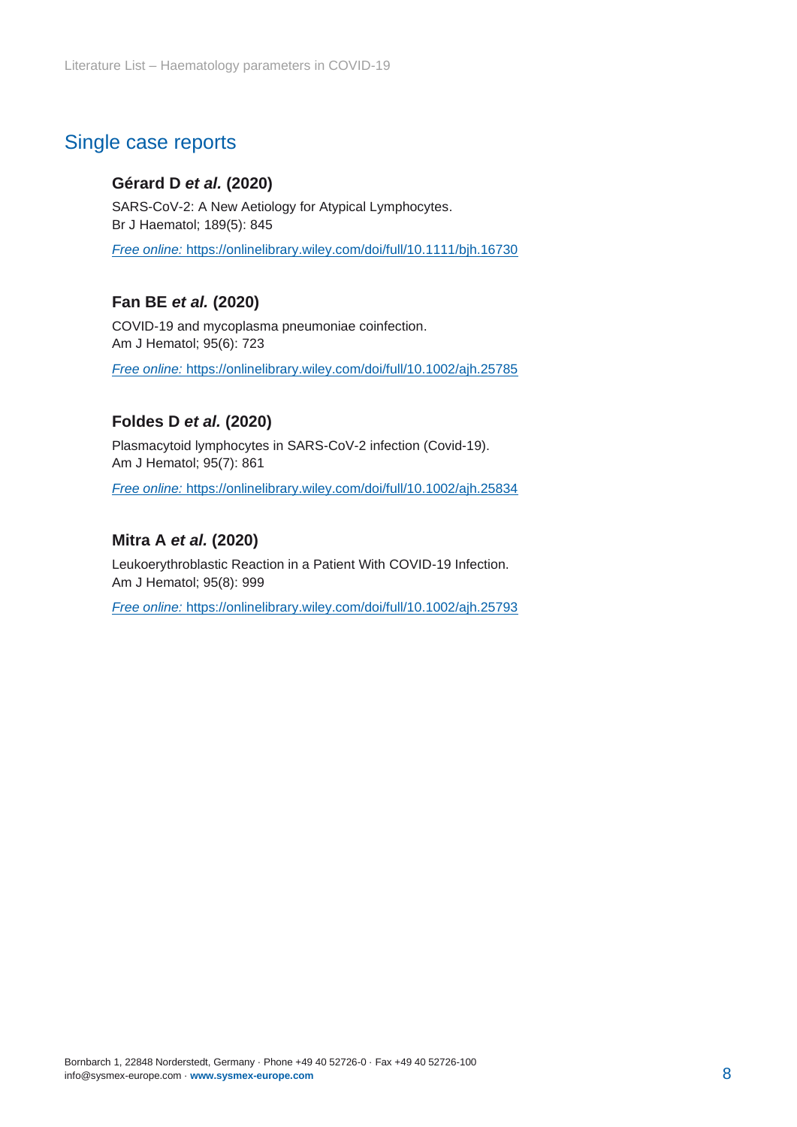## <span id="page-7-0"></span>Single case reports

#### **Gérard D** *et al.* **(2020)**

SARS-CoV-2: A New Aetiology for Atypical Lymphocytes. Br J Haematol; 189(5): 845

*Free online:* https://onlinelibrary.wiley.com/doi/full/10.1111/bjh.16730

#### **Fan BE** *et al.* **(2020)**

COVID-19 and mycoplasma pneumoniae coinfection. Am J Hematol; 95(6): 723

*Free online:* https://onlinelibrary.wiley.com/doi/full/10.1002/ajh.25785

#### **Foldes D** *et al.* **(2020)**

Plasmacytoid lymphocytes in SARS-CoV-2 infection (Covid-19). Am J Hematol; 95(7): 861

*Free online:* https://onlinelibrary.wiley.com/doi/full/10.1002/ajh.25834

#### **Mitra A** *et al.* **(2020)**

Leukoerythroblastic Reaction in a Patient With COVID-19 Infection. Am J Hematol; 95(8): 999

*Free online:* https://onlinelibrary.wiley.com/doi/full/10.1002/ajh.25793